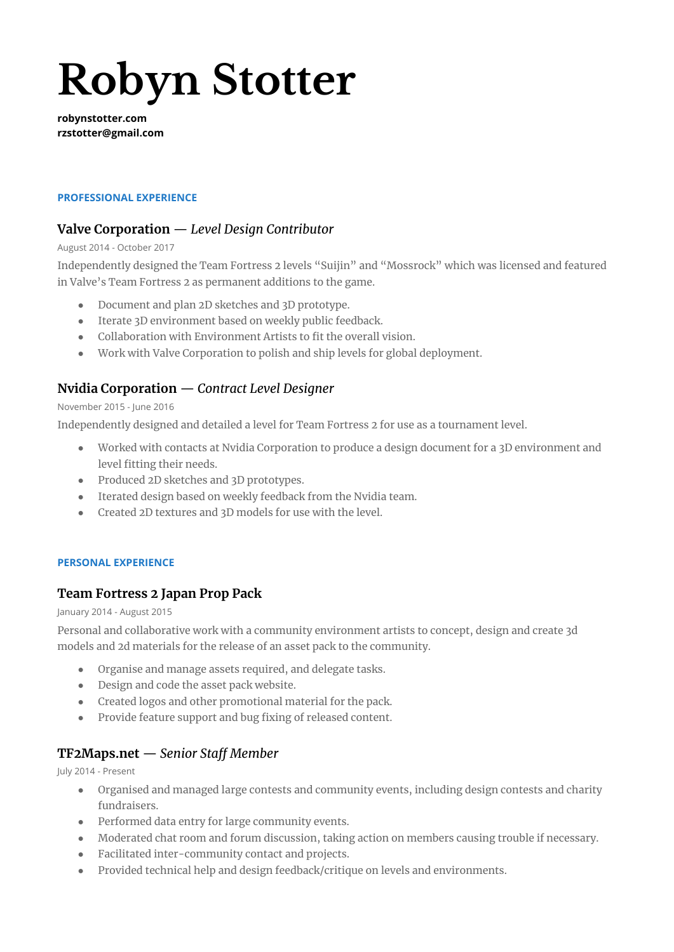# **Robyn Stotter**

**robynstotter.com rzstotter@gmail.com**

## **PROFESSIONAL EXPERIENCE**

# **Valve Corporation** — *Level Design Contributor*

#### August 2014 - October 2017

Independently designed the Team Fortress 2 levels "Suijin" and "Mossrock" which was licensed and featured in Valve's Team Fortress 2 as permanent additions to the game.

- Document and plan 2D sketches and 3D prototype.
- Iterate 3D environment based on weekly public feedback.
- Collaboration with Environment Artists to fit the overall vision.
- Work with Valve Corporation to polish and ship levels for global deployment.

# **Nvidia Corporation** — *Contract Level Designer*

#### November 2015 - June 2016

Independently designed and detailed a level for Team Fortress 2 for use as a tournament level.

- Worked with contacts at Nvidia Corporation to produce a design document for a 3D environment and level fitting their needs.
- Produced 2D sketches and 3D prototypes.
- Iterated design based on weekly feedback from the Nvidia team.
- Created 2D textures and 3D models for use with the level.

#### **PERSONAL EXPERIENCE**

# **Team Fortress 2 Japan Prop Pack**

January 2014 - August 2015

Personal and collaborative work with a community environment artists to concept, design and create 3d models and 2d materials for the release of an asset pack to the community.

- Organise and manage assets required, and delegate tasks.
- Design and code the asset pack website.
- Created logos and other promotional material for the pack.
- Provide feature support and bug fixing of released content.

# **TF2Maps.net** — *Senior Staff Member*

July 2014 - Present

- Organised and managed large contests and community events, including design contests and charity fundraisers.
- Performed data entry for large community events.
- Moderated chat room and forum discussion, taking action on members causing trouble if necessary.
- Facilitated inter-community contact and projects.
- Provided technical help and design feedback/critique on levels and environments.